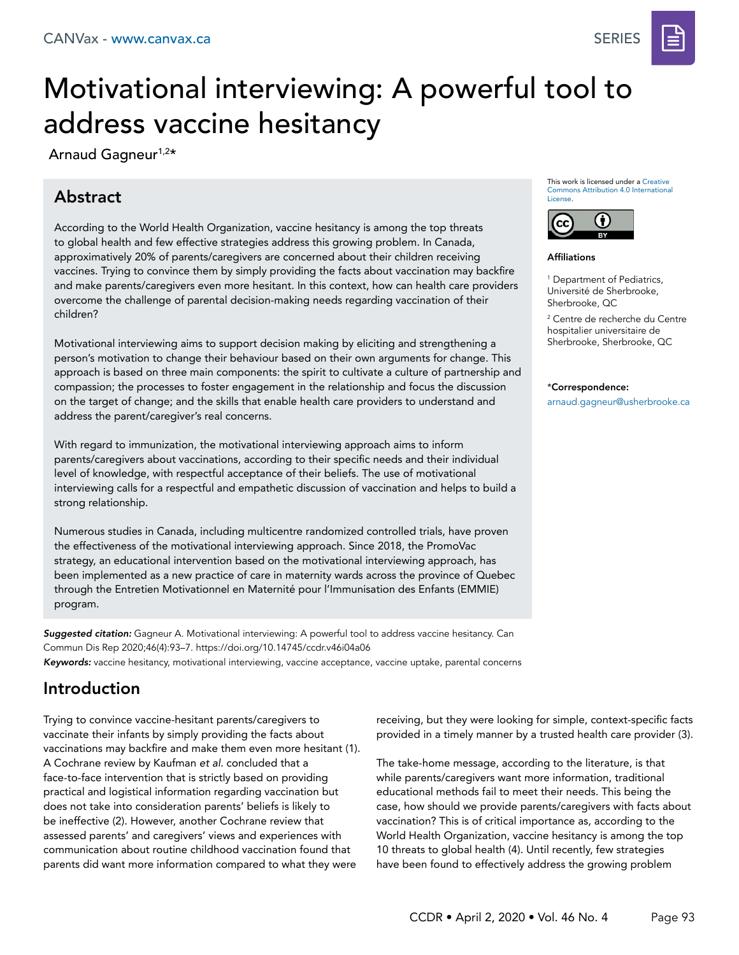

# Motivational interviewing: A powerful tool to address vaccine hesitancy

Arnaud Gagneur<sup>1,2\*</sup>

# Abstract

According to the World Health Organization, vaccine hesitancy is among the top threats to global health and few effective strategies address this growing problem. In Canada, approximatively 20% of parents/caregivers are concerned about their children receiving vaccines. Trying to convince them by simply providing the facts about vaccination may backfire and make parents/caregivers even more hesitant. In this context, how can health care providers overcome the challenge of parental decision-making needs regarding vaccination of their children?

Motivational interviewing aims to support decision making by eliciting and strengthening a person's motivation to change their behaviour based on their own arguments for change. This approach is based on three main components: the spirit to cultivate a culture of partnership and compassion; the processes to foster engagement in the relationship and focus the discussion on the target of change; and the skills that enable health care providers to understand and address the parent/caregiver's real concerns.

With regard to immunization, the motivational interviewing approach aims to inform parents/caregivers about vaccinations, according to their specific needs and their individual level of knowledge, with respectful acceptance of their beliefs. The use of motivational interviewing calls for a respectful and empathetic discussion of vaccination and helps to build a strong relationship.

Numerous studies in Canada, including multicentre randomized controlled trials, have proven the effectiveness of the motivational interviewing approach. Since 2018, the PromoVac strategy, an educational intervention based on the motivational interviewing approach, has been implemented as a new practice of care in maternity wards across the province of Quebec through the Entretien Motivationnel en Maternité pour l'Immunisation des Enfants (EMMIE) program.

*Suggested citation:* Gagneur A. Motivational interviewing: A powerful tool to address vaccine hesitancy. Can Commun Dis Rep 2020;46(4):93–7. https://doi.org/10.14745/ccdr.v46i04a06 *Keywords:* vaccine hesitancy, motivational interviewing, vaccine acceptance, vaccine uptake, parental concerns

# Introduction

Trying to convince vaccine-hesitant parents/caregivers to vaccinate their infants by simply providing the facts about vaccinations may backfire and make them even more hesitant (1). A Cochrane review by Kaufman *et al.* concluded that a face-to-face intervention that is strictly based on providing practical and logistical information regarding vaccination but does not take into consideration parents' beliefs is likely to be ineffective (2). However, another Cochrane review that assessed parents' and caregivers' views and experiences with communication about routine childhood vaccination found that parents did want more information compared to what they were

This work is licensed under a [Creative](https://creativecommons.org/licenses/by/4.0/)  [Commons Attribution 4.0 International](https://creativecommons.org/licenses/by/4.0/)  [License](https://creativecommons.org/licenses/by/4.0/).



**Affiliations** 

1 Department of Pediatrics, Université de Sherbrooke, Sherbrooke, QC

2 Centre de recherche du Centre hospitalier universitaire de Sherbrooke, Sherbrooke, QC

#### \*Correspondence:

a[rnaud.gagneur@usherbrooke.ca](mailto:arnaud.gagneur%40usherbrooke.ca?subject=)

receiving, but they were looking for simple, context-specific facts provided in a timely manner by a trusted health care provider (3).

The take-home message, according to the literature, is that while parents/caregivers want more information, traditional educational methods fail to meet their needs. This being the case, how should we provide parents/caregivers with facts about vaccination? This is of critical importance as, according to the World Health Organization, vaccine hesitancy is among the top 10 threats to global health (4). Until recently, few strategies have been found to effectively address the growing problem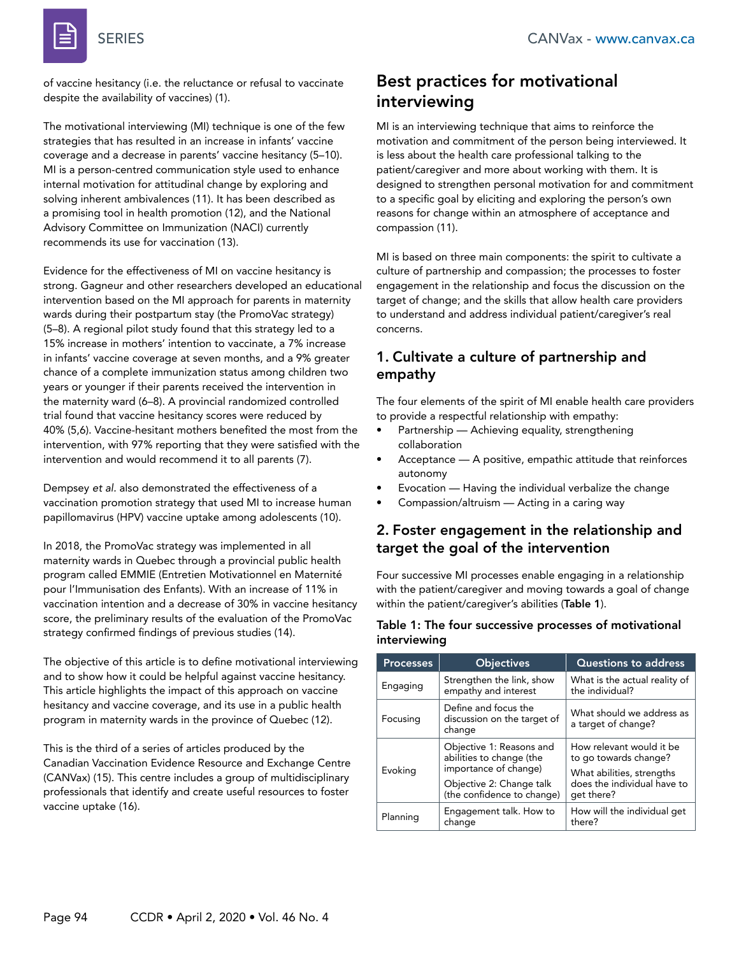

of vaccine hesitancy (i.e. the reluctance or refusal to vaccinate despite the availability of vaccines) (1).

The motivational interviewing (MI) technique is one of the few strategies that has resulted in an increase in infants' vaccine coverage and a decrease in parents' vaccine hesitancy (5–10). MI is a person-centred communication style used to enhance internal motivation for attitudinal change by exploring and solving inherent ambivalences (11). It has been described as a promising tool in health promotion (12), and the National Advisory Committee on Immunization (NACI) currently recommends its use for vaccination (13).

Evidence for the effectiveness of MI on vaccine hesitancy is strong. Gagneur and other researchers developed an educational intervention based on the MI approach for parents in maternity wards during their postpartum stay (the PromoVac strategy) (5–8). A regional pilot study found that this strategy led to a 15% increase in mothers' intention to vaccinate, a 7% increase in infants' vaccine coverage at seven months, and a 9% greater chance of a complete immunization status among children two years or younger if their parents received the intervention in the maternity ward (6–8). A provincial randomized controlled trial found that vaccine hesitancy scores were reduced by 40% (5,6). Vaccine-hesitant mothers benefited the most from the intervention, with 97% reporting that they were satisfied with the intervention and would recommend it to all parents (7).

Dempsey *et al.* also demonstrated the effectiveness of a vaccination promotion strategy that used MI to increase human papillomavirus (HPV) vaccine uptake among adolescents (10).

In 2018, the PromoVac strategy was implemented in all maternity wards in Quebec through a provincial public health program called EMMIE (Entretien Motivationnel en Maternité pour l'Immunisation des Enfants). With an increase of 11% in vaccination intention and a decrease of 30% in vaccine hesitancy score, the preliminary results of the evaluation of the PromoVac strategy confirmed findings of previous studies (14).

The objective of this article is to define motivational interviewing and to show how it could be helpful against vaccine hesitancy. This article highlights the impact of this approach on vaccine hesitancy and vaccine coverage, and its use in a public health program in maternity wards in the province of Quebec (12).

This is the third of a series of articles produced by the Canadian Vaccination Evidence Resource and Exchange Centre (CANVax) (15). This centre includes a group of multidisciplinary professionals that identify and create useful resources to foster vaccine uptake (16).

# Best practices for motivational interviewing

MI is an interviewing technique that aims to reinforce the motivation and commitment of the person being interviewed. It is less about the health care professional talking to the patient/caregiver and more about working with them. It is designed to strengthen personal motivation for and commitment to a specific goal by eliciting and exploring the person's own reasons for change within an atmosphere of acceptance and compassion (11).

MI is based on three main components: the spirit to cultivate a culture of partnership and compassion; the processes to foster engagement in the relationship and focus the discussion on the target of change; and the skills that allow health care providers to understand and address individual patient/caregiver's real concerns.

### 1. Cultivate a culture of partnership and empathy

The four elements of the spirit of MI enable health care providers to provide a respectful relationship with empathy:

- Partnership Achieving equality, strengthening collaboration
- Acceptance A positive, empathic attitude that reinforces autonomy
- Evocation Having the individual verbalize the change
- Compassion/altruism Acting in a caring way

### 2. Foster engagement in the relationship and target the goal of the intervention

Four successive MI processes enable engaging in a relationship with the patient/caregiver and moving towards a goal of change within the patient/caregiver's abilities (Table 1).

#### Table 1: The four successive processes of motivational interviewing

| <b>Processes</b> | <b>Objectives</b>                                                                                                                       | <b>Questions to address</b>                                                                                                 |
|------------------|-----------------------------------------------------------------------------------------------------------------------------------------|-----------------------------------------------------------------------------------------------------------------------------|
| Engaging         | Strengthen the link, show<br>empathy and interest                                                                                       | What is the actual reality of<br>the individual?                                                                            |
| Focusing         | Define and focus the<br>discussion on the target of<br>change                                                                           | What should we address as<br>a target of change?                                                                            |
| Evoking          | Objective 1: Reasons and<br>abilities to change (the<br>importance of change)<br>Objective 2: Change talk<br>(the confidence to change) | How relevant would it be<br>to go towards change?<br>What abilities, strengths<br>does the individual have to<br>qet there? |
| Planning         | Engagement talk. How to<br>change                                                                                                       | How will the individual get<br>there?                                                                                       |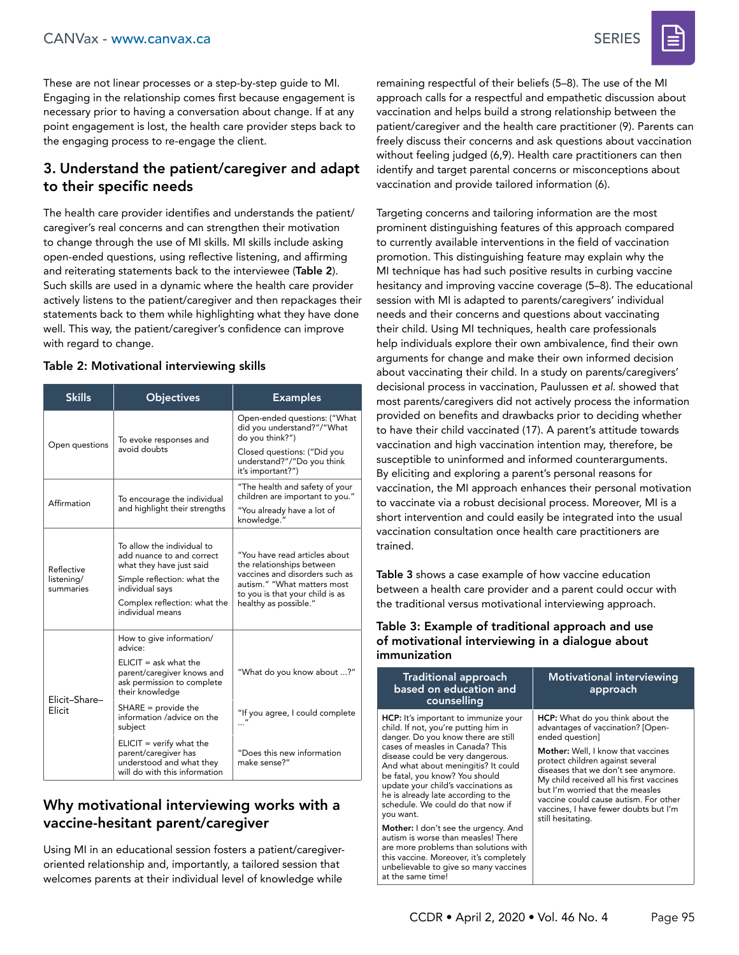These are not linear processes or a step-by-step guide to MI. Engaging in the relationship comes first because engagement is necessary prior to having a conversation about change. If at any point engagement is lost, the health care provider steps back to the engaging process to re-engage the client.

# 3. Understand the patient/caregiver and adapt to their specific needs

The health care provider identifies and understands the patient/ caregiver's real concerns and can strengthen their motivation to change through the use of MI skills. MI skills include asking open-ended questions, using reflective listening, and affirming and reiterating statements back to the interviewee (Table 2). Such skills are used in a dynamic where the health care provider actively listens to the patient/caregiver and then repackages their statements back to them while highlighting what they have done well. This way, the patient/caregiver's confidence can improve with regard to change.

### Table 2: Motivational interviewing skills

| <b>Skills</b>                         | <b>Objectives</b>                                                                                                                                                                         | <b>Examples</b>                                                                                                                                                                         |
|---------------------------------------|-------------------------------------------------------------------------------------------------------------------------------------------------------------------------------------------|-----------------------------------------------------------------------------------------------------------------------------------------------------------------------------------------|
| Open questions                        | To evoke responses and<br>avoid doubts                                                                                                                                                    | Open-ended questions: ("What<br>did you understand?"/"What<br>do you think?")<br>Closed questions: ("Did you<br>understand?"/"Do you think                                              |
|                                       |                                                                                                                                                                                           | it's important?")                                                                                                                                                                       |
| Affirmation                           | To encourage the individual<br>and highlight their strengths                                                                                                                              | "The health and safety of your<br>children are important to you."                                                                                                                       |
|                                       |                                                                                                                                                                                           | "You already have a lot of<br>knowledge."                                                                                                                                               |
| Reflective<br>listening/<br>summaries | To allow the individual to<br>add nuance to and correct<br>what they have just said<br>Simple reflection: what the<br>individual says<br>Complex reflection: what the<br>individual means | "You have read articles about<br>the relationships between<br>vaccines and disorders such as<br>autism." "What matters most<br>to you is that your child is as<br>healthy as possible." |
|                                       | How to give information/<br>advice:                                                                                                                                                       |                                                                                                                                                                                         |
| Elicit-Share-                         | $ELICIT = ask what the$<br>parent/caregiver knows and<br>ask permission to complete<br>their knowledge                                                                                    | "What do you know about ?"                                                                                                                                                              |
| Elicit                                | $SHARE = provide the$<br>information /advice on the<br>subject                                                                                                                            | "If you agree, I could complete                                                                                                                                                         |
|                                       | $ELICIT = verify what the$<br>parent/caregiver has<br>understood and what they<br>will do with this information                                                                           | "Does this new information<br>make sense?"                                                                                                                                              |

# Why motivational interviewing works with a vaccine-hesitant parent/caregiver

Using MI in an educational session fosters a patient/caregiveroriented relationship and, importantly, a tailored session that welcomes parents at their individual level of knowledge while

remaining respectful of their beliefs (5–8). The use of the MI approach calls for a respectful and empathetic discussion about vaccination and helps build a strong relationship between the patient/caregiver and the health care practitioner (9). Parents can freely discuss their concerns and ask questions about vaccination without feeling judged (6,9). Health care practitioners can then identify and target parental concerns or misconceptions about vaccination and provide tailored information (6).

Targeting concerns and tailoring information are the most prominent distinguishing features of this approach compared to currently available interventions in the field of vaccination promotion. This distinguishing feature may explain why the MI technique has had such positive results in curbing vaccine hesitancy and improving vaccine coverage (5–8). The educational session with MI is adapted to parents/caregivers' individual needs and their concerns and questions about vaccinating their child. Using MI techniques, health care professionals help individuals explore their own ambivalence, find their own arguments for change and make their own informed decision about vaccinating their child. In a study on parents/caregivers' decisional process in vaccination, Paulussen *et al*. showed that most parents/caregivers did not actively process the information provided on benefits and drawbacks prior to deciding whether to have their child vaccinated (17). A parent's attitude towards vaccination and high vaccination intention may, therefore, be susceptible to uninformed and informed counterarguments. By eliciting and exploring a parent's personal reasons for vaccination, the MI approach enhances their personal motivation to vaccinate via a robust decisional process. Moreover, MI is a short intervention and could easily be integrated into the usual vaccination consultation once health care practitioners are trained.

Table 3 shows a case example of how vaccine education between a health care provider and a parent could occur with the traditional versus motivational interviewing approach.

#### Table 3: Example of traditional approach and use of motivational interviewing in a dialogue about immunization

| <b>Traditional approach</b><br>based on education and<br>counselling                                                                                                                                                                                                                                                                                                                                 | <b>Motivational interviewing</b><br>approach                                                                                                                                                                                                                                                                                                                                                            |  |  |  |
|------------------------------------------------------------------------------------------------------------------------------------------------------------------------------------------------------------------------------------------------------------------------------------------------------------------------------------------------------------------------------------------------------|---------------------------------------------------------------------------------------------------------------------------------------------------------------------------------------------------------------------------------------------------------------------------------------------------------------------------------------------------------------------------------------------------------|--|--|--|
| HCP: It's important to immunize your<br>child. If not, you're putting him in<br>danger. Do you know there are still<br>cases of measles in Canada? This<br>disease could be very dangerous.<br>And what about meningitis? It could<br>be fatal, you know? You should<br>update your child's vaccinations as<br>he is already late according to the<br>schedule. We could do that now if<br>you want. | HCP: What do you think about the<br>advantages of vaccination? [Open-<br>ended question]<br><b>Mother:</b> Well, I know that vaccines<br>protect children against several<br>diseases that we don't see anymore.<br>My child received all his first vaccines<br>but I'm worried that the measles<br>vaccine could cause autism. For other<br>vaccines, I have fewer doubts but I'm<br>still hesitating. |  |  |  |
| Mother: I don't see the urgency. And<br>autism is worse than measles! There<br>are more problems than solutions with<br>this vaccine. Moreover, it's completely<br>unbelievable to give so many vaccines                                                                                                                                                                                             |                                                                                                                                                                                                                                                                                                                                                                                                         |  |  |  |

at the same time!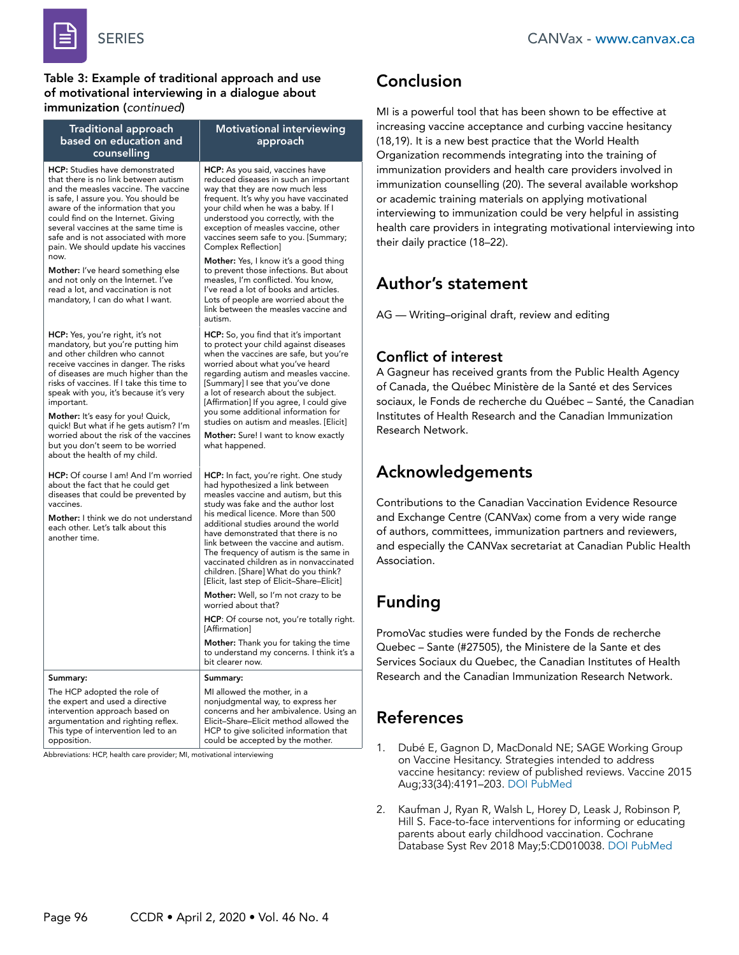

Table 3: Example of traditional approach and use of motivational interviewing in a dialogue about immunization (*continued*)

| <b>Traditional approach</b><br>based on education and<br>counselling                                                                                                                                                                                                                                                                                                                                                                                                                       | <b>Motivational interviewing</b><br>approach                                                                                                                                                                                                                                                                                                                                                                                                                                                 | increasing vaccine acceptance ar<br>(18,19). It is a new best practice<br>Organization recommends integ                                                                                                            |
|--------------------------------------------------------------------------------------------------------------------------------------------------------------------------------------------------------------------------------------------------------------------------------------------------------------------------------------------------------------------------------------------------------------------------------------------------------------------------------------------|----------------------------------------------------------------------------------------------------------------------------------------------------------------------------------------------------------------------------------------------------------------------------------------------------------------------------------------------------------------------------------------------------------------------------------------------------------------------------------------------|--------------------------------------------------------------------------------------------------------------------------------------------------------------------------------------------------------------------|
| HCP: Studies have demonstrated<br>that there is no link between autism<br>and the measles vaccine. The vaccine<br>is safe, I assure you. You should be<br>aware of the information that you<br>could find on the Internet. Giving<br>several vaccines at the same time is<br>safe and is not associated with more<br>pain. We should update his vaccines                                                                                                                                   | HCP: As you said, vaccines have<br>reduced diseases in such an important<br>way that they are now much less<br>frequent. It's why you have vaccinated<br>your child when he was a baby. If I<br>understood you correctly, with the<br>exception of measles vaccine, other<br>vaccines seem safe to you. [Summary;<br>Complex Reflection]                                                                                                                                                     | immunization providers and heal<br>immunization counselling (20). T<br>or academic training materials of<br>interviewing to immunization co<br>health care providers in integrati<br>their daily practice (18-22). |
| now.<br><b>Mother:</b> I've heard something else<br>and not only on the Internet. I've<br>read a lot, and vaccination is not<br>mandatory, I can do what I want.                                                                                                                                                                                                                                                                                                                           | Mother: Yes, I know it's a good thing<br>to prevent those infections. But about<br>measles, I'm conflicted. You know,<br>I've read a lot of books and articles.<br>Lots of people are worried about the<br>link between the measles vaccine and<br>autism.                                                                                                                                                                                                                                   | <b>Author's statement</b><br>AG — Writing-original draft, rev                                                                                                                                                      |
| HCP: Yes, you're right, it's not<br>mandatory, but you're putting him<br>and other children who cannot<br>receive vaccines in danger. The risks<br>of diseases are much higher than the<br>risks of vaccines. If I take this time to<br>speak with you, it's because it's very<br>important.<br>Mother: It's easy for you! Quick,<br>quick! But what if he gets autism? I'm<br>worried about the risk of the vaccines<br>but you don't seem to be worried<br>about the health of my child. | <b>HCP:</b> So, you find that it's important<br>to protect your child against diseases<br>when the vaccines are safe, but you're<br>worried about what you've heard<br>regarding autism and measles vaccine.<br>[Summary] I see that you've done<br>a lot of research about the subject.<br>[Affirmation] If you agree, I could give<br>you some additional information for<br>studies on autism and measles. [Elicit]<br>Mother: Sure! I want to know exactly<br>what happened.             | <b>Conflict of interest</b><br>A Gagneur has received grants f<br>of Canada, the Québec Ministèr<br>sociaux, le Fonds de recherche c<br>Institutes of Health Research and<br>Research Network.                     |
| <b>HCP:</b> Of course I am! And I'm worried<br>about the fact that he could get<br>diseases that could be prevented by<br>vaccines.<br>Mother: I think we do not understand<br>each other. Let's talk about this<br>another time.                                                                                                                                                                                                                                                          | HCP: In fact, you're right. One study<br>had hypothesized a link between<br>measles vaccine and autism, but this<br>study was fake and the author lost<br>his medical licence. More than 500<br>additional studies around the world<br>have demonstrated that there is no<br>link between the vaccine and autism.<br>The frequency of autism is the same in<br>vaccinated children as in nonvaccinated<br>children. [Share] What do you think?<br>[Elicit, last step of Elicit–Share–Elicit] | <b>Acknowledgements</b><br>Contributions to the Canadian V<br>and Exchange Centre (CANVax)<br>of authors, committees, immuniz<br>and especially the CANVax secre<br>Association.                                   |
|                                                                                                                                                                                                                                                                                                                                                                                                                                                                                            | Mother: Well, so I'm not crazy to be<br>worried about that?                                                                                                                                                                                                                                                                                                                                                                                                                                  | <b>Funding</b>                                                                                                                                                                                                     |
|                                                                                                                                                                                                                                                                                                                                                                                                                                                                                            | HCP: Of course not, you're totally right.<br>[Affirmation]<br>Mother: Thank you for taking the time<br>to understand my concerns. I think it's a<br>bit clearer now.                                                                                                                                                                                                                                                                                                                         | PromoVac studies were funded k<br>Quebec - Sante (#27505), the M<br>Services Sociaux du Quebec, the                                                                                                                |
| Summary:                                                                                                                                                                                                                                                                                                                                                                                                                                                                                   | Summary:                                                                                                                                                                                                                                                                                                                                                                                                                                                                                     | Research and the Canadian Imm                                                                                                                                                                                      |
| The HCP adopted the role of<br>the expert and used a directive<br>intervention approach based on<br>argumentation and righting reflex.<br>This type of intervention led to an<br>opposition.                                                                                                                                                                                                                                                                                               | MI allowed the mother, in a<br>nonjudgmental way, to express her<br>concerns and her ambivalence. Using an<br>Elicit-Share-Elicit method allowed the<br>HCP to give solicited information that<br>could be accepted by the mother.                                                                                                                                                                                                                                                           | <b>References</b>                                                                                                                                                                                                  |
|                                                                                                                                                                                                                                                                                                                                                                                                                                                                                            |                                                                                                                                                                                                                                                                                                                                                                                                                                                                                              | Dubé E, Gagnon D, MacDor<br>1.                                                                                                                                                                                     |

Abbreviations: HCP, health care provider; MI, motivational interviewing

# Conclusion

MI is a powerful tool that has been shown to be effective at nd curbing vaccine hesitancy that the World Health rating into the training of Ith care providers involved in he several available workshop n applying motivational uld be very helpful in assisting ing motivational interviewing into

iew and editing

rom the Public Health Agency e de la Santé et des Services du Québec – Santé, the Canadian d the Canadian Immunization

accination Evidence Resource come from a very wide range zation partners and reviewers, etariat at Canadian Public Health

by the Fonds de recherche linistere de la Sante et des e Canadian Institutes of Health unization Research Network.

- nald NE; SAGE Working Group on Vaccine Hesitancy. Strategies intended to address vaccine hesitancy: review of published reviews. Vaccine 2015 Aug;33(34):4191–203. [DOI](https://doi.org/10.1016/j.vaccine.2015.04.041) [PubMed](https://www.ncbi.nlm.nih.gov/entrez/query.fcgi?cmd=Retrieve&db=PubMed&list_uids=25896385&dopt=Abstract)
- 2. Kaufman J, Ryan R, Walsh L, Horey D, Leask J, Robinson P, Hill S. Face-to-face interventions for informing or educating parents about early childhood vaccination. Cochrane Database Syst Rev 2018 May;5:CD010038. [DOI](https://doi.org/10.1002/14651858.CD010038.pub3) [PubMed](https://www.ncbi.nlm.nih.gov/entrez/query.fcgi?cmd=Retrieve&db=PubMed&list_uids=29736980&dopt=Abstract)